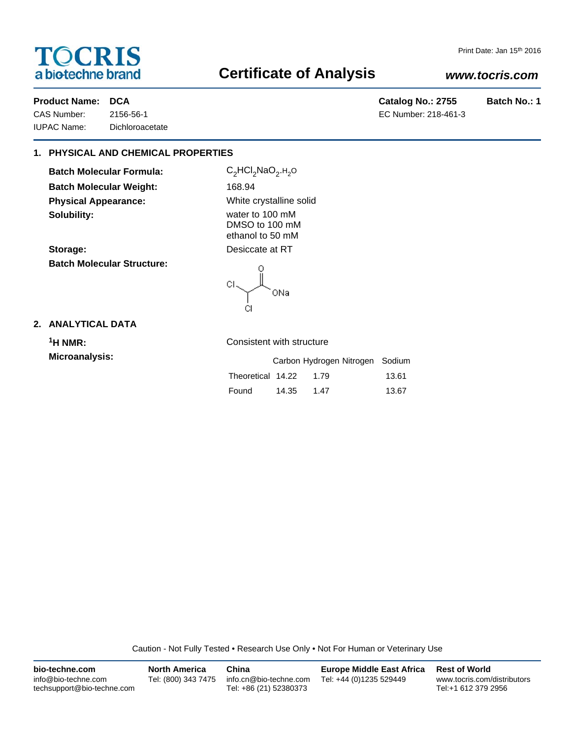# **TOCRIS** a biotechne brand

# **Certificate of Analysis**

## *www.tocris.com*

CAS Number: 2156-56-1 EC Number: 218-461-3 IUPAC Name: Dichloroacetate

Product Name: DCA **Catalog No.: 2755** Batch No.: 1

## **1. PHYSICAL AND CHEMICAL PROPERTIES**

**Batch Molecular Formula:** C<sub>2</sub>HCl<sub>2</sub>NaO<sub>2</sub>.H<sub>2</sub>O **Batch Molecular Weight:** 168.94 **Physical Appearance:** White crystalline solid **Solubility:** water to 100 mM

**Batch Molecular Structure:**

DMSO to 100 mM ethanol to 50 mM Storage: Desiccate at RT

CI. ONa CI.

### **2. ANALYTICAL DATA**

| $\mathsf{H}$ NMR: | Consistent with structure       |       |  |
|-------------------|---------------------------------|-------|--|
| Microanalysis:    | Carbon Hydrogen Nitrogen Sodium |       |  |
|                   | Theoretical 14.22               | 13.61 |  |

|                   |       | Calbott Tivulogeti Nitiogeti Soului |       |
|-------------------|-------|-------------------------------------|-------|
| Theoretical 14.22 |       | 1.79                                | 13.61 |
| Found             | 14.35 | 1.47                                | 13.67 |

Caution - Not Fully Tested • Research Use Only • Not For Human or Veterinary Use

| bio-techne.com                                    | <b>North America</b> | China                                            | <b>Europe Middle East Africa</b> | <b>Rest of World</b>                               |
|---------------------------------------------------|----------------------|--------------------------------------------------|----------------------------------|----------------------------------------------------|
| info@bio-techne.com<br>techsupport@bio-techne.com | Tel: (800) 343 7475  | info.cn@bio-techne.com<br>Tel: +86 (21) 52380373 | Tel: +44 (0)1235 529449          | www.tocris.com/distributors<br>Tel:+1 612 379 2956 |